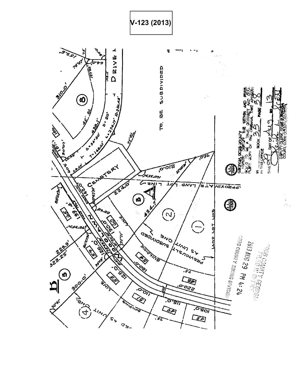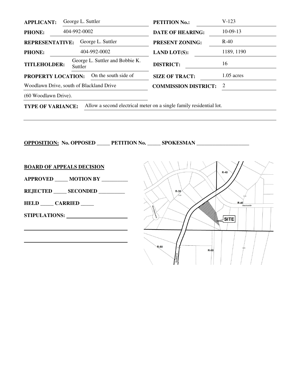| <b>APPLICANT:</b>                          | George L. Suttler                          | <b>PETITION No.:</b>        | $V-123$      |
|--------------------------------------------|--------------------------------------------|-----------------------------|--------------|
| <b>PHONE:</b>                              | 404-992-0002                               | <b>DATE OF HEARING:</b>     | $10-09-13$   |
| <b>REPRESENTATIVE:</b>                     | George L. Suttler                          | <b>PRESENT ZONING:</b>      | $R-40$       |
| <b>PHONE:</b>                              | 404-992-0002                               | <b>LAND LOT(S):</b>         | 1189, 1190   |
| <b>TITLEHOLDER:</b>                        | George L. Suttler and Bobbie K.<br>Suttler | <b>DISTRICT:</b>            | 16           |
| On the south side of<br>PROPERTY LOCATION: |                                            | <b>SIZE OF TRACT:</b>       | $1.05$ acres |
| Woodlawn Drive, south of Blackland Drive   |                                            | <b>COMMISSION DISTRICT:</b> | 2            |
| (60 Woodlawn Drive).                       |                                            |                             |              |
|                                            |                                            |                             |              |

**TYPE OF VARIANCE:** Allow a second electrical meter on a single family residential lot.

**OPPOSITION: No. OPPOSED \_\_\_\_\_ PETITION No. \_\_\_\_\_ SPOKESMAN \_\_\_\_\_\_\_\_\_\_\_\_\_\_\_\_\_\_\_\_** 

**BOARD OF APPEALS DECISION**

**APPROVED \_\_\_\_\_ MOTION BY \_\_\_\_\_\_\_\_\_\_** 

**REJECTED \_\_\_\_\_ SECONDED \_\_\_\_\_\_\_\_\_\_** 

**HELD \_\_\_\_\_ CARRIED \_\_\_\_\_** 

**STIPULATIONS:** 

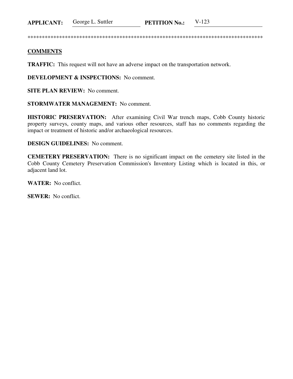George L. Suttler  $V-123$ **PETITION No.: APPLICANT:** 

## **COMMENTS**

**TRAFFIC:** This request will not have an adverse impact on the transportation network.

**DEVELOPMENT & INSPECTIONS:** No comment.

**SITE PLAN REVIEW:** No comment.

**STORMWATER MANAGEMENT:** No comment.

HISTORIC PRESERVATION: After examining Civil War trench maps, Cobb County historic property surveys, county maps, and various other resources, staff has no comments regarding the impact or treatment of historic and/or archaeological resources.

**DESIGN GUIDELINES:** No comment.

**CEMETERY PRESERVATION:** There is no significant impact on the cemetery site listed in the Cobb County Cemetery Preservation Commission's Inventory Listing which is located in this, or adjacent land lot.

**WATER:** No conflict.

**SEWER:** No conflict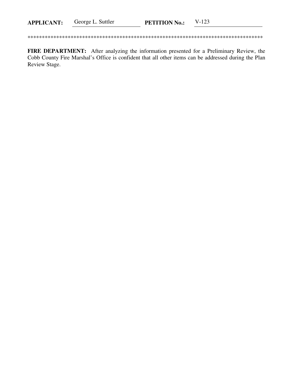| $V-123$<br>George L. Suttler<br><b>APPLICANT:</b><br><b>PETITION No.:</b> |  |
|---------------------------------------------------------------------------|--|
|---------------------------------------------------------------------------|--|

FIRE DEPARTMENT: After analyzing the information presented for a Preliminary Review, the Cobb County Fire Marshal's Office is confident that all other items can be addressed during the Plan Review Stage.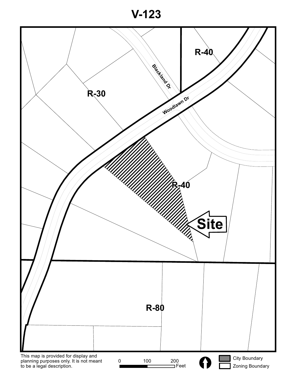**V-123**